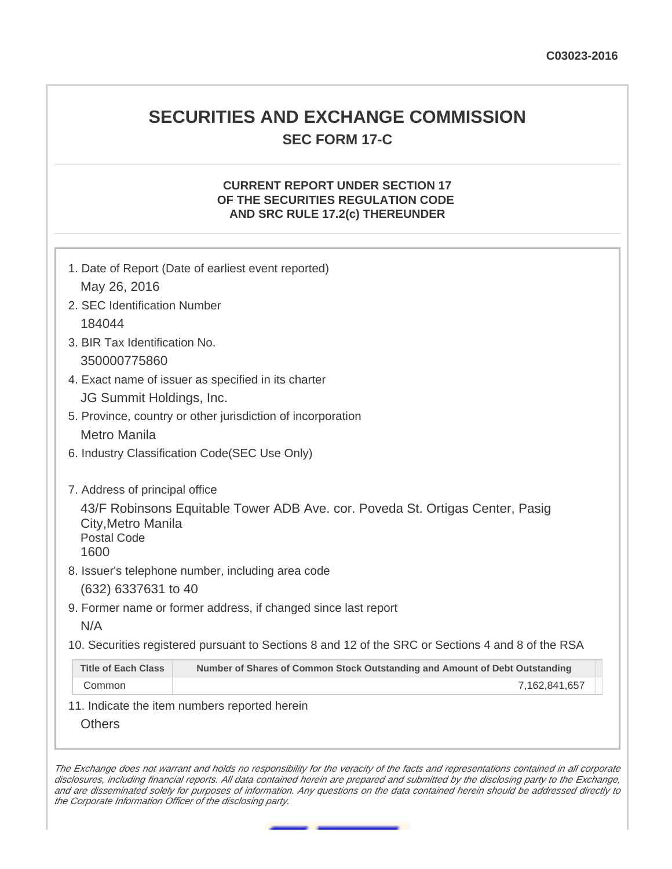# **SECURITIES AND EXCHANGE COMMISSION SEC FORM 17-C**

## **CURRENT REPORT UNDER SECTION 17 OF THE SECURITIES REGULATION CODE AND SRC RULE 17.2(c) THEREUNDER**

|                                                  | 1. Date of Report (Date of earliest event reported)                                               |
|--------------------------------------------------|---------------------------------------------------------------------------------------------------|
| May 26, 2016                                     |                                                                                                   |
| 2. SEC Identification Number                     |                                                                                                   |
| 184044                                           |                                                                                                   |
| 3. BIR Tax Identification No.                    |                                                                                                   |
| 350000775860                                     |                                                                                                   |
|                                                  | 4. Exact name of issuer as specified in its charter                                               |
| JG Summit Holdings, Inc.                         |                                                                                                   |
|                                                  | 5. Province, country or other jurisdiction of incorporation                                       |
| <b>Metro Manila</b>                              |                                                                                                   |
|                                                  | 6. Industry Classification Code(SEC Use Only)                                                     |
| 7. Address of principal office                   |                                                                                                   |
| City, Metro Manila<br><b>Postal Code</b><br>1600 | 43/F Robinsons Equitable Tower ADB Ave. cor. Poveda St. Ortigas Center, Pasig                     |
|                                                  | 8. Issuer's telephone number, including area code                                                 |
| (632) 6337631 to 40                              |                                                                                                   |
|                                                  | 9. Former name or former address, if changed since last report                                    |
| N/A                                              |                                                                                                   |
|                                                  | 10. Securities registered pursuant to Sections 8 and 12 of the SRC or Sections 4 and 8 of the RSA |
|                                                  | Number of Shares of Common Stock Outstanding and Amount of Debt Outstanding                       |
| <b>Title of Each Class</b>                       |                                                                                                   |

The Exchange does not warrant and holds no responsibility for the veracity of the facts and representations contained in all corporate disclosures, including financial reports. All data contained herein are prepared and submitted by the disclosing party to the Exchange, and are disseminated solely for purposes of information. Any questions on the data contained herein should be addressed directly to the Corporate Information Officer of the disclosing party.